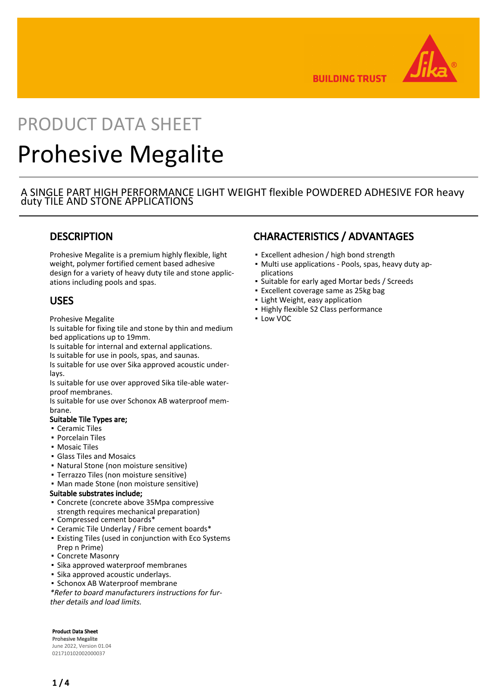

**BUILDING TRUST** 

# PRODUCT DATA SHEET Prohesive Megalite

### A SINGLE PART HIGH PERFORMANCE LIGHT WEIGHT flexible POWDERED ADHESIVE FOR heavy duty TILE AND STONE APPLICATIONS

# **DESCRIPTION**

Prohesive Megalite is a premium highly flexible, light weight, polymer fortified cement based adhesive design for a variety of heavy duty tile and stone applications including pools and spas.

### USES

Prohesive Megalite

Is suitable for fixing tile and stone by thin and medium bed applications up to 19mm.

Is suitable for internal and external applications.

Is suitable for use in pools, spas, and saunas.

Is suitable for use over Sika approved acoustic underlays.

Is suitable for use over approved Sika tile-able waterproof membranes.

Is suitable for use over Schonox AB waterproof membrane.

### Suitable Tile Types are;

- Ceramic Tiles
- Porcelain Tiles
- Mosaic Tiles
- Glass Tiles and Mosaics
- Natural Stone (non moisture sensitive)
- Terrazzo Tiles (non moisture sensitive)
- Man made Stone (non moisture sensitive)

### Suitable substrates include;

- Concrete (concrete above 35Mpa compressive strength requires mechanical preparation)
- Compressed cement boards\*
- Ceramic Tile Underlay / Fibre cement boards\*
- Existing Tiles (used in conjunction with Eco Systems Prep n Prime)
- Concrete Masonry
- Sika approved waterproof membranes
- Sika approved acoustic underlays.
- Schonox AB Waterproof membrane

\*Refer to board manufacturers instructions for further details and load limits.

Product Data Sheet Prohesive Megalite June 2022, Version 01.04 021710102002000037

# CHARACTERISTICS / ADVANTAGES

- **Excellent adhesion / high bond strength**
- Multi use applications Pools, spas, heavy duty applications
- Suitable for early aged Mortar beds / Screeds
- Excellent coverage same as 25kg bag
- **· Light Weight, easy application**
- Highly flexible S2 Class performance
- Low VOC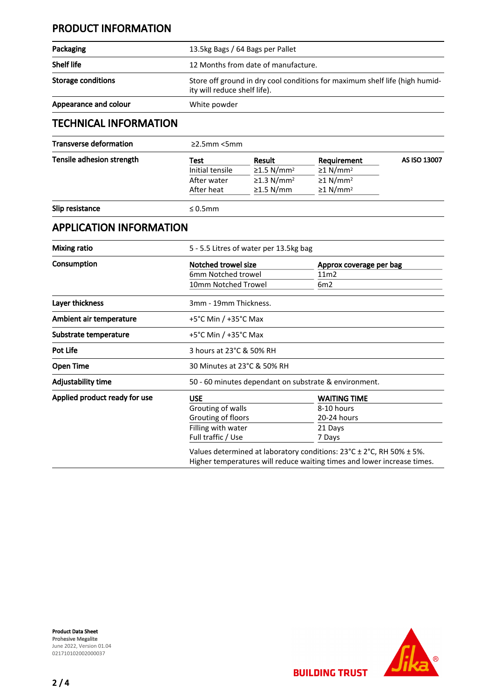# PRODUCT INFORMATION

| Packaging                     |                                                                                                             |                             |                    |              |  |
|-------------------------------|-------------------------------------------------------------------------------------------------------------|-----------------------------|--------------------|--------------|--|
|                               | 13.5kg Bags / 64 Bags per Pallet                                                                            |                             |                    |              |  |
| <b>Shelf life</b>             | 12 Months from date of manufacture.                                                                         |                             |                    |              |  |
| <b>Storage conditions</b>     | Store off ground in dry cool conditions for maximum shelf life (high humid-<br>ity will reduce shelf life). |                             |                    |              |  |
| Appearance and colour         | White powder                                                                                                |                             |                    |              |  |
| <b>TECHNICAL INFORMATION</b>  |                                                                                                             |                             |                    |              |  |
| <b>Transverse deformation</b> | $\geq$ 2.5mm <5mm                                                                                           |                             |                    |              |  |
| Tensile adhesion strength     | エヘヘキ                                                                                                        | $D_{\text{2}}$ $\sim$ $1 +$ | <b>Doguiromont</b> | AS ISO 12007 |  |

| Tensile adhesion strength | Test<br>Initial tensile<br>After water<br>After heat | Result<br>$\geq$ 1.5 N/mm <sup>2</sup><br>$\geq$ 1.3 N/mm <sup>2</sup><br>$\geq$ 1.5 N/mm | Requirement<br>$\geq$ 1 N/mm <sup>2</sup><br>$\geq$ 1 N/mm <sup>2</sup><br>$\geq$ 1 N/mm <sup>2</sup> | AS ISO 13007 |                 |               |  |  |  |
|---------------------------|------------------------------------------------------|-------------------------------------------------------------------------------------------|-------------------------------------------------------------------------------------------------------|--------------|-----------------|---------------|--|--|--|
|                           |                                                      |                                                                                           |                                                                                                       |              | Slip resistance | $\leq 0.5$ mm |  |  |  |

## APPLICATION INFORMATION

| Mixing ratio                  |                                                                                                                                                                      | 5 - 5.5 Litres of water per 13.5kg bag |  |  |
|-------------------------------|----------------------------------------------------------------------------------------------------------------------------------------------------------------------|----------------------------------------|--|--|
| Consumption                   | Notched trowel size                                                                                                                                                  | Approx coverage per bag                |  |  |
|                               | 6mm Notched trowel                                                                                                                                                   | 11m2                                   |  |  |
|                               | 10mm Notched Trowel                                                                                                                                                  | 6m2                                    |  |  |
| Layer thickness               | 3mm - 19mm Thickness.                                                                                                                                                |                                        |  |  |
| Ambient air temperature       | $+5^{\circ}$ C Min / $+35^{\circ}$ C Max                                                                                                                             |                                        |  |  |
| Substrate temperature         | $+5^{\circ}$ C Min / $+35^{\circ}$ C Max                                                                                                                             |                                        |  |  |
| <b>Pot Life</b>               | 3 hours at 23°C & 50% RH                                                                                                                                             |                                        |  |  |
| <b>Open Time</b>              | 30 Minutes at 23°C & 50% RH                                                                                                                                          |                                        |  |  |
| Adjustability time            | 50 - 60 minutes dependant on substrate & environment.                                                                                                                |                                        |  |  |
| Applied product ready for use | <b>USE</b>                                                                                                                                                           | <b>WAITING TIME</b>                    |  |  |
|                               | Grouting of walls                                                                                                                                                    | 8-10 hours                             |  |  |
|                               | Grouting of floors                                                                                                                                                   | 20-24 hours                            |  |  |
|                               | Filling with water                                                                                                                                                   | 21 Days                                |  |  |
|                               | Full traffic / Use                                                                                                                                                   | 7 Days                                 |  |  |
|                               | Values determined at laboratory conditions: $23^{\circ}$ C ± 2 $^{\circ}$ C, RH 50% ± 5%.<br>Higher temperatures will reduce waiting times and lower increase times. |                                        |  |  |



**BUILDING TRUST**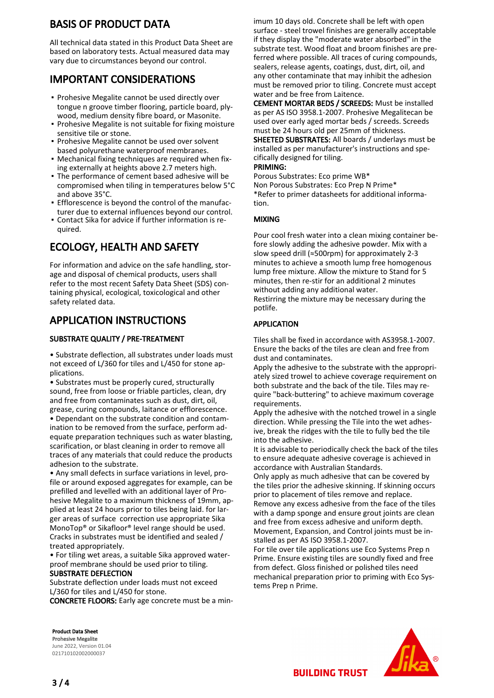# BASIS OF PRODUCT DATA

All technical data stated in this Product Data Sheet are based on laboratory tests. Actual measured data may vary due to circumstances beyond our control.

# IMPORTANT CONSIDERATIONS

- **Prohesive Megalite cannot be used directly over** tongue n groove timber flooring, particle board, plywood, medium density fibre board, or Masonite.
- **Prohesive Megalite is not suitable for fixing moisture** sensitive tile or stone.
- **Prohesive Megalite cannot be used over solvent** based polyurethane waterproof membranes.
- Mechanical fixing techniques are required when fix-▪ ing externally at heights above 2.7 meters high.
- The performance of cement based adhesive will be compromised when tiling in temperatures below 5°C and above 35°C.
- **Efflorescence is beyond the control of the manufac**turer due to external influences beyond our control.
- Contact Sika for advice if further information is re-▪ quired.

# ECOLOGY, HEALTH AND SAFETY

For information and advice on the safe handling, storage and disposal of chemical products, users shall refer to the most recent Safety Data Sheet (SDS) containing physical, ecological, toxicological and other safety related data.

# APPLICATION INSTRUCTIONS

### SUBSTRATE QUALITY / PRE-TREATMENT

• Substrate deflection, all substrates under loads must not exceed of L/360 for tiles and L/450 for stone applications.

• Substrates must be properly cured, structurally sound, free from loose or friable particles, clean, dry and free from contaminates such as dust, dirt, oil, grease, curing compounds, laitance or efflorescence.

• Dependant on the substrate condition and contamination to be removed from the surface, perform adequate preparation techniques such as water blasting, scarification, or blast cleaning in order to remove all traces of any materials that could reduce the products adhesion to the substrate.

• Any small defects in surface variations in level, profile or around exposed aggregates for example, can be prefilled and levelled with an additional layer of Prohesive Megalite to a maximum thickness of 19mm, applied at least 24 hours prior to tiles being laid. for larger areas of surface correction use appropriate Sika MonoTop® or Sikafloor® level range should be used. Cracks in substrates must be identified and sealed / treated appropriately.

• For tiling wet areas, a suitable Sika approved waterproof membrane should be used prior to tiling.

### SUBSTRATE DEFLECTION

Substrate deflection under loads must not exceed L/360 for tiles and L/450 for stone.

CONCRETE FLOORS: Early age concrete must be a min-

imum 10 days old. Concrete shall be left with open surface - steel trowel finishes are generally acceptable if they display the "moderate water absorbed" in the substrate test. Wood float and broom finishes are preferred where possible. All traces of curing compounds, sealers, release agents, coatings, dust, dirt, oil, and any other contaminate that may inhibit the adhesion must be removed prior to tiling. Concrete must accept water and be free from Laitence.

CEMENT MORTAR BEDS / SCREEDS: Must be installed as per AS ISO 3958.1-2007. Prohesive Megalitecan be used over early aged mortar beds / screeds. Screeds must be 24 hours old per 25mm of thickness.

SHEETED SUBSTRATES: All boards / underlays must be installed as per manufacturer's instructions and specifically designed for tiling.

### PRIMING:

Porous Substrates: Eco prime WB\* Non Porous Substrates: Eco Prep N Prime\* \*Refer to primer datasheets for additional information.

### MIXING

Pour cool fresh water into a clean mixing container before slowly adding the adhesive powder. Mix with a slow speed drill (≈500rpm) for approximately 2-3 minutes to achieve a smooth lump free homogenous lump free mixture. Allow the mixture to Stand for 5 minutes, then re-stir for an additional 2 minutes without adding any additional water.

Restirring the mixture may be necessary during the potlife.

### APPLICATION

Tiles shall be fixed in accordance with AS3958.1-2007. Ensure the backs of the tiles are clean and free from dust and contaminates.

Apply the adhesive to the substrate with the appropriately sized trowel to achieve coverage requirement on both substrate and the back of the tile. Tiles may require "back-buttering" to achieve maximum coverage requirements.

Apply the adhesive with the notched trowel in a single direction. While pressing the Tile into the wet adhesive, break the ridges with the tile to fully bed the tile into the adhesive.

It is advisable to periodically check the back of the tiles to ensure adequate adhesive coverage is achieved in accordance with Australian Standards.

Only apply as much adhesive that can be covered by the tiles prior the adhesive skinning. If skinning occurs prior to placement of tiles remove and replace. Remove any excess adhesive from the face of the tiles with a damp sponge and ensure grout joints are clean and free from excess adhesive and uniform depth. Movement, Expansion, and Control joints must be installed as per AS ISO 3958.1-2007.

For tile over tile applications use Eco Systems Prep n Prime. Ensure existing tiles are soundly fixed and free from defect. Gloss finished or polished tiles need mechanical preparation prior to priming with Eco Systems Prep n Prime.

Product Data Sheet Prohesive Megalite June 2022, Version 01.04 021710102002000037



**BUILDING TRUST**